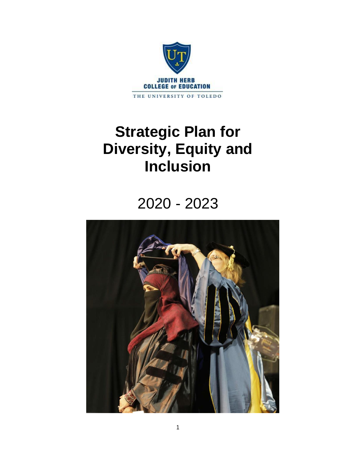

# **Strategic Plan for Diversity, Equity and Inclusion**

# 2020 - 2023

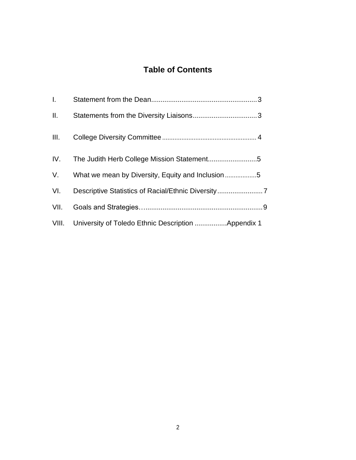## **Table of Contents**

| L.   |                                                          |
|------|----------------------------------------------------------|
| Ш.   |                                                          |
| III. |                                                          |
|      |                                                          |
|      | V. What we mean by Diversity, Equity and Inclusion 5     |
| VI.  |                                                          |
| VII. |                                                          |
|      | VIII. University of Toledo Ethnic Description Appendix 1 |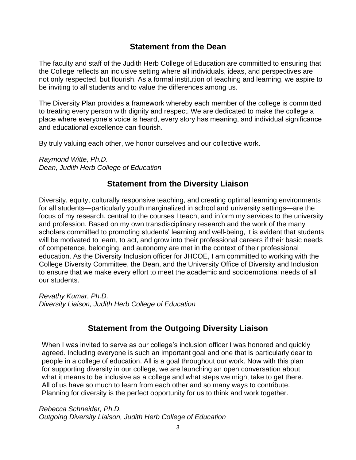## **Statement from the Dean**

The faculty and staff of the Judith Herb College of Education are committed to ensuring that the College reflects an inclusive setting where all individuals, ideas, and perspectives are not only respected, but flourish. As a formal institution of teaching and learning, we aspire to be inviting to all students and to value the differences among us.

The Diversity Plan provides a framework whereby each member of the college is committed to treating every person with dignity and respect. We are dedicated to make the college a place where everyone's voice is heard, every story has meaning, and individual significance and educational excellence can flourish.

By truly valuing each other, we honor ourselves and our collective work.

*Raymond Witte, Ph.D. Dean, Judith Herb College of Education*

## **Statement from the Diversity Liaison**

Diversity, equity, culturally responsive teaching, and creating optimal learning environments for all students—particularly youth marginalized in school and university settings—are the focus of my research, central to the courses I teach, and inform my services to the university and profession. Based on my own transdisciplinary research and the work of the many scholars committed to promoting students' learning and well-being, it is evident that students will be motivated to learn, to act, and grow into their professional careers if their basic needs of competence, belonging, and autonomy are met in the context of their professional education. As the Diversity Inclusion officer for JHCOE, I am committed to working with the College Diversity Committee, the Dean, and the University Office of Diversity and Inclusion to ensure that we make every effort to meet the academic and socioemotional needs of all our students.

*Revathy Kumar, Ph.D. Diversity Liaison, Judith Herb College of Education*

## **Statement from the Outgoing Diversity Liaison**

When I was invited to serve as our college's inclusion officer I was honored and quickly agreed. Including everyone is such an important goal and one that is particularly dear to people in a college of education. All is a goal throughout our work. Now with this plan for supporting diversity in our college, we are launching an open conversation about what it means to be inclusive as a college and what steps we might take to get there. All of us have so much to learn from each other and so many ways to contribute. Planning for diversity is the perfect opportunity for us to think and work together.

*Rebecca Schneider, Ph.D. Outgoing Diversity Liaison, Judith Herb College of Education*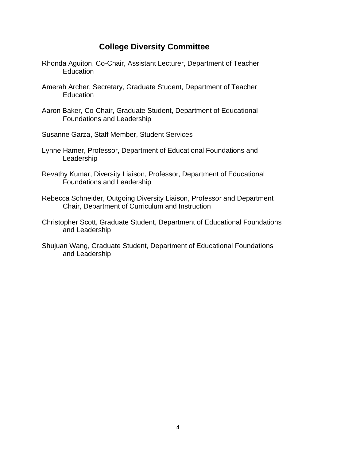## **College Diversity Committee**

- Rhonda Aguiton, Co-Chair, Assistant Lecturer, Department of Teacher Education
- Amerah Archer, Secretary, Graduate Student, Department of Teacher **Education**
- Aaron Baker, Co-Chair, Graduate Student, Department of Educational Foundations and Leadership
- Susanne Garza, Staff Member, Student Services
- Lynne Hamer, Professor, Department of Educational Foundations and Leadership
- Revathy Kumar, Diversity Liaison, Professor, Department of Educational Foundations and Leadership
- Rebecca Schneider, Outgoing Diversity Liaison, Professor and Department Chair, Department of Curriculum and Instruction
- Christopher Scott, Graduate Student, Department of Educational Foundations and Leadership
- Shujuan Wang, Graduate Student, Department of Educational Foundations and Leadership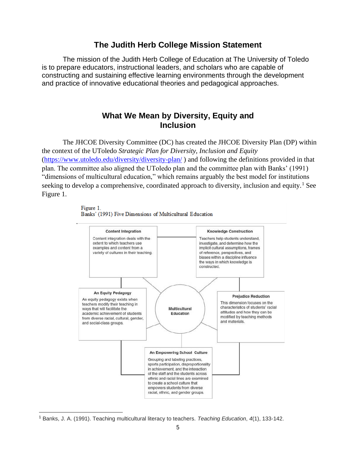### **The Judith Herb College Mission Statement**

The mission of the Judith Herb College of Education at The University of Toledo is to prepare educators, instructional leaders, and scholars who are capable of constructing and sustaining effective learning environments through the development and practice of innovative educational theories and pedagogical approaches.

## **What We Mean by Diversity, Equity and Inclusion**

The JHCOE Diversity Committee (DC) has created the JHCOE Diversity Plan (DP) within the context of the UToledo *Strategic Plan for Diversity, Inclusion and Equity* [\(https://www.utoledo.edu/diversity/diversity-plan/](https://www.utoledo.edu/diversity/diversity-plan/) ) and following the definitions provided in that plan. The committee also aligned the UToledo plan and the committee plan with Banks' (1991) "dimensions of multicultural education," which remains arguably the best model for institutions seeking to develop a comprehensive, coordinated approach to diversity, inclusion and equity.<sup>1</sup> See Figure 1.





<sup>1</sup> Banks, J. A. (1991). Teaching multicultural literacy to teachers. *Teaching Education*, *4*(1), 133-142.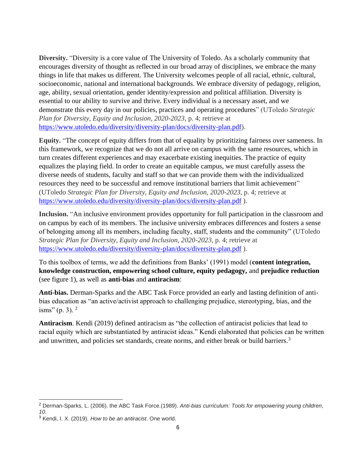**Diversity.** "Diversity is a core value of The University of Toledo. As a scholarly community that encourages diversity of thought as reflected in our broad array of disciplines, we embrace the many things in life that makes us different. The University welcomes people of all racial, ethnic, cultural, socioeconomic, national and international backgrounds. We embrace diversity of pedagogy, religion, age, ability, sexual orientation, gender identity/expression and political affiliation. Diversity is essential to our ability to survive and thrive. Every individual is a necessary asset, and we demonstrate this every day in our policies, practices and operating procedures" (UToledo *Strategic Plan for Diversity, Equity and Inclusion, 2020-2023*, p. 4; retrieve at [https://www.utoledo.edu/diversity/diversity-plan/docs/diversity-plan.pdf\)](https://www.utoledo.edu/diversity/diversity-plan/docs/diversity-plan.pdf).

**Equity.** "The concept of equity differs from that of equality by prioritizing fairness over sameness. In this framework, we recognize that we do not all arrive on campus with the same resources, which in turn creates different experiences and may exacerbate existing inequities. The practice of equity equalizes the playing field. In order to create an equitable campus, we must carefully assess the diverse needs of students, faculty and staff so that we can provide them with the individualized resources they need to be successful and remove institutional barriers that limit achievement" (UToledo *Strategic Plan for Diversity, Equity and Inclusion, 2020-2023*, p. 4; retrieve at <https://www.utoledo.edu/diversity/diversity-plan/docs/diversity-plan.pdf> ).

**Inclusion.** "An inclusive environment provides opportunity for full participation in the classroom and on campus by each of its members. The inclusive university embraces differences and fosters a sense of belonging among all its members, including faculty, staff, students and the community" (UToledo *Strategic Plan for Diversity, Equity and Inclusion, 2020-2023*, p. 4; retrieve at <https://www.utoledo.edu/diversity/diversity-plan/docs/diversity-plan.pdf> ).

To this toolbox of terms, we add the definitions from Banks' (1991) model (**content integration, knowledge construction, empowering school culture, equity pedagogy,** and **prejudice reduction** (see figure 1), as well as **anti-bias** and **antiracism**:

**Anti-bias.** Derman-Sparks and the ABC Task Force provided an early and lasting definition of antibias education as "an active/activist approach to challenging prejudice, stereotyping, bias, and the isms" (p. 3).  $2^{\circ}$ 

**Antiracism**. Kendi (2019) defined antiracism as "the collection of antiracist policies that lead to racial equity which are substantiated by antiracist ideas." Kendi elaborated that policies can be written and unwritten, and policies set standards, create norms, and either break or build barriers.<sup>3</sup>

<sup>2</sup> Derman-Sparks, L. (2006). the ABC Task Force.(1989). *Anti-bias curriculum: Tools for empowering young children*, *10*.

<sup>3</sup> Kendi, I. X. (2019). *How to be an antiracist*. One world.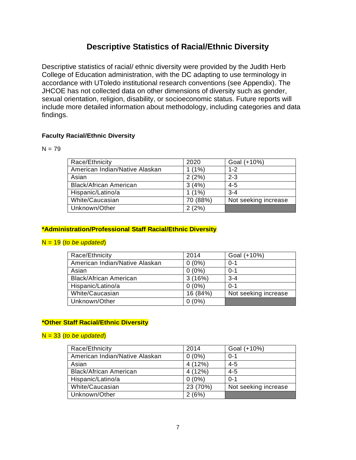## **Descriptive Statistics of Racial/Ethnic Diversity**

Descriptive statistics of racial/ ethnic diversity were provided by the Judith Herb College of Education administration, with the DC adapting to use terminology in accordance with UToledo institutional research conventions (see Appendix). The JHCOE has not collected data on other dimensions of diversity such as gender, sexual orientation, religion, disability, or socioeconomic status. Future reports will include more detailed information about methodology, including categories and data findings.

#### **Faculty Racial/Ethnic Diversity**

 $N = 79$ 

| Race/Ethnicity                 | 2020     | Goal (+10%)          |
|--------------------------------|----------|----------------------|
| American Indian/Native Alaskan | $1(1\%)$ | $1 - 2$              |
| Asian                          | 2(2%)    | $2 - 3$              |
| <b>Black/African American</b>  | 3(4%)    | $4 - 5$              |
| Hispanic/Latino/a              | $1(1\%)$ | $3 - 4$              |
| White/Caucasian                | 70 (88%) | Not seeking increase |
| Unknown/Other                  | 2(2%)    |                      |

#### **\*Administration/Professional Staff Racial/Ethnic Diversity**

#### N = 19 (*to be updated*)

| Race/Ethnicity                 | 2014     | Goal (+10%)          |
|--------------------------------|----------|----------------------|
| American Indian/Native Alaskan | $0(0\%)$ | $0 - 1$              |
| Asian                          | $0(0\%)$ | $0 - 1$              |
| <b>Black/African American</b>  | 3(16%)   | $3 - 4$              |
| Hispanic/Latino/a              | $0(0\%)$ | $0 - 1$              |
| White/Caucasian                | 16 (84%) | Not seeking increase |
| Unknown/Other                  | $0(0\%)$ |                      |

#### **\*Other Staff Racial/Ethnic Diversity**

#### N = 33 (*to be updated*)

| Race/Ethnicity                 | 2014     | Goal (+10%)          |
|--------------------------------|----------|----------------------|
| American Indian/Native Alaskan | $0(0\%)$ | $0 - 1$              |
| Asian                          | 4 (12%)  | $4 - 5$              |
| <b>Black/African American</b>  | 4 (12%)  | $4 - 5$              |
| Hispanic/Latino/a              | $0(0\%)$ | $0 - 1$              |
| White/Caucasian                | 23 (70%) | Not seeking increase |
| Unknown/Other                  | 2(6%)    |                      |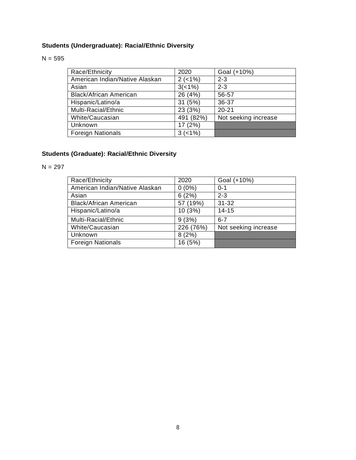## **Students (Undergraduate): Racial/Ethnic Diversity**

#### $N = 595$

| Race/Ethnicity                 | 2020        | Goal (+10%)          |
|--------------------------------|-------------|----------------------|
| American Indian/Native Alaskan | $2 (-1%)$   | $2 - 3$              |
| Asian                          | 3(<1%)      | $2 - 3$              |
| <b>Black/African American</b>  | 26 (4%)     | 56-57                |
| Hispanic/Latino/a              | 31 (5%)     | 36-37                |
| Multi-Racial/Ethnic            | 23 (3%)     | $20 - 21$            |
| White/Caucasian                | 491 (82%)   | Not seeking increase |
| Unknown                        | 17 (2%)     |                      |
| <b>Foreign Nationals</b>       | $3 (< 1\%)$ |                      |

## **Students (Graduate): Racial/Ethnic Diversity**

 $N = 297$ 

| Race/Ethnicity                 | 2020      | Goal (+10%)          |
|--------------------------------|-----------|----------------------|
| American Indian/Native Alaskan | $0(0\%)$  | $0 - 1$              |
| Asian                          | 6(2%)     | $2 - 3$              |
| <b>Black/African American</b>  | 57 (19%)  | $31 - 32$            |
| Hispanic/Latino/a              | 10 (3%)   | $14 - 15$            |
| Multi-Racial/Ethnic            | 9(3%)     | $6 - 7$              |
| White/Caucasian                | 226 (76%) | Not seeking increase |
| Unknown                        | 8(2%)     |                      |
| <b>Foreign Nationals</b>       | 16 (5%)   |                      |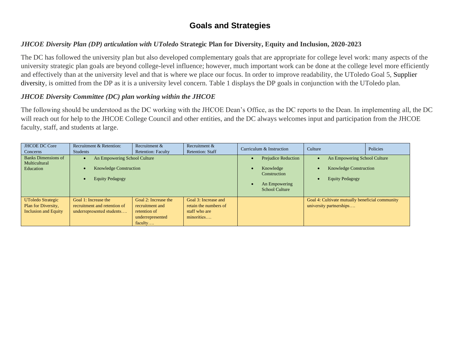## **Goals and Strategies**

### *JHCOE Diversity Plan (DP) articulation with UToledo* **Strategic Plan for Diversity, Equity and Inclusion, 2020-2023**

The DC has followed the university plan but also developed complementary goals that are appropriate for college level work: many aspects of the university strategic plan goals are beyond college-level influence; however, much important work can be done at the college level more efficiently and effectively than at the university level and that is where we place our focus. In order to improve readability, the UToledo Goal 5, Supplier diversity, is omitted from the DP as it is a university level concern. Table 1 displays the DP goals in conjunction with the UToledo plan.

#### *JHCOE Diversity Committee (DC) plan working within the JHCOE*

The following should be understood as the DC working with the JHCOE Dean's Office, as the DC reports to the Dean. In implementing all, the DC will reach out for help to the JHCOE College Council and other entities, and the DC always welcomes input and participation from the JHCOE faculty, staff, and students at large.

| <b>JHCOE DC Core</b><br>Concerns                                               | Recruitment & Retention:<br><b>Students</b>                                                          | Recruitment &<br><b>Retention: Faculty</b>                                             | Recruitment &<br><b>Retention: Staff</b>                                     | Curriculum & Instruction                                                                                                    | Culture                                                                                 | Policies |
|--------------------------------------------------------------------------------|------------------------------------------------------------------------------------------------------|----------------------------------------------------------------------------------------|------------------------------------------------------------------------------|-----------------------------------------------------------------------------------------------------------------------------|-----------------------------------------------------------------------------------------|----------|
| Banks Dimensions of<br>Multicultural<br>Education                              | An Empowering School Culture<br>$\bullet$<br><b>Knowledge Construction</b><br><b>Equity Pedagogy</b> |                                                                                        |                                                                              | <b>Prejudice Reduction</b><br>Knowledge<br>$\bullet$<br>Construction<br>An Empowering<br>$\bullet$<br><b>School Culture</b> | An Empowering School Culture<br><b>Knowledge Construction</b><br><b>Equity Pedagogy</b> |          |
| <b>UToledo Strategic</b><br>Plan for Diversity,<br><b>Inclusion and Equity</b> | Goal 1: Increase the<br>recruitment and retention of<br>underrepresented students                    | Goal 2: Increase the<br>recruitment and<br>retention of<br>underrepresented<br>faculty | Goal 3: Increase and<br>retain the numbers of<br>staff who are<br>minorities |                                                                                                                             | Goal 4: Cultivate mutually beneficial community<br>university partnerships              |          |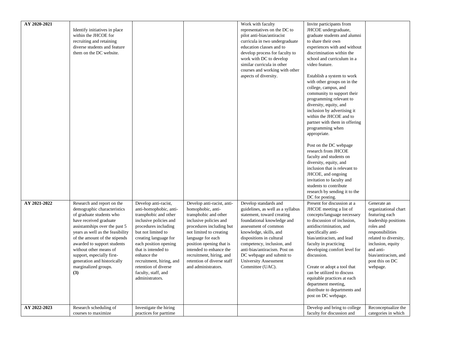| AY 2020-2021 |                                                                   |                                                  |                                                        | Work with faculty                                               | Invite participants from                                   |                                            |
|--------------|-------------------------------------------------------------------|--------------------------------------------------|--------------------------------------------------------|-----------------------------------------------------------------|------------------------------------------------------------|--------------------------------------------|
|              | Identify initiatives in place                                     |                                                  |                                                        | representatives on the DC to                                    | JHCOE undergraduate,                                       |                                            |
|              | within the JHCOE for                                              |                                                  |                                                        | pilot anti-bias/antiracist                                      | graduate students and alumni                               |                                            |
|              | recruiting and retaining                                          |                                                  |                                                        | curricula in two undergraduate                                  | to share their own                                         |                                            |
|              | diverse students and feature                                      |                                                  |                                                        | education classes and to                                        | experiences with and without                               |                                            |
|              | them on the DC website.                                           |                                                  |                                                        | develop process for faculty to                                  | discrimination within the                                  |                                            |
|              |                                                                   |                                                  |                                                        | work with DC to develop                                         | school and curriculum in a                                 |                                            |
|              |                                                                   |                                                  |                                                        | similar curricula in other                                      | video feature.                                             |                                            |
|              |                                                                   |                                                  |                                                        | courses and working with other                                  |                                                            |                                            |
|              |                                                                   |                                                  |                                                        | aspects of diversity.                                           | Establish a system to work                                 |                                            |
|              |                                                                   |                                                  |                                                        |                                                                 | with other groups on in the                                |                                            |
|              |                                                                   |                                                  |                                                        |                                                                 | college, campus, and                                       |                                            |
|              |                                                                   |                                                  |                                                        |                                                                 | community to support their                                 |                                            |
|              |                                                                   |                                                  |                                                        |                                                                 | programming relevant to                                    |                                            |
|              |                                                                   |                                                  |                                                        |                                                                 | diversity, equity, and                                     |                                            |
|              |                                                                   |                                                  |                                                        |                                                                 | inclusion by advertising it                                |                                            |
|              |                                                                   |                                                  |                                                        |                                                                 | within the JHCOE and to                                    |                                            |
|              |                                                                   |                                                  |                                                        |                                                                 | partner with them in offering                              |                                            |
|              |                                                                   |                                                  |                                                        |                                                                 | programming when                                           |                                            |
|              |                                                                   |                                                  |                                                        |                                                                 | appropriate.                                               |                                            |
|              |                                                                   |                                                  |                                                        |                                                                 |                                                            |                                            |
|              |                                                                   |                                                  |                                                        |                                                                 | Post on the DC webpage                                     |                                            |
|              |                                                                   |                                                  |                                                        |                                                                 | research from JHCOE                                        |                                            |
|              |                                                                   |                                                  |                                                        |                                                                 | faculty and students on                                    |                                            |
|              |                                                                   |                                                  |                                                        |                                                                 | diversity, equity, and                                     |                                            |
|              |                                                                   |                                                  |                                                        |                                                                 | inclusion that is relevant to                              |                                            |
|              |                                                                   |                                                  |                                                        |                                                                 | JHCOE, and ongoing                                         |                                            |
|              |                                                                   |                                                  |                                                        |                                                                 | invitation to faculty and                                  |                                            |
|              |                                                                   |                                                  |                                                        |                                                                 | students to contribute                                     |                                            |
|              |                                                                   |                                                  |                                                        |                                                                 | research by sending it to the                              |                                            |
|              |                                                                   |                                                  |                                                        |                                                                 | DC for posting.                                            |                                            |
| AY 2021-2022 | Research and report on the                                        | Develop anti-racist,                             | Develop anti-racist, anti-                             | Develop standards and                                           | Present for discussion at a                                | Generate an                                |
|              | demographic characteristics                                       | anti-homophobic, anti-                           | homophobic, anti-                                      |                                                                 |                                                            | organizational chart                       |
|              | of graduate students who                                          | transphobic and other                            | transphobic and other                                  | guidelines, as well as a syllabus<br>statement, toward creating | JHCOE meeting a list of<br>concepts/language necessary     | featuring each                             |
|              | have received graduate                                            | inclusive policies and                           | inclusive policies and                                 | foundational knowledge and                                      | to discussion of inclusion,                                | leadership positions                       |
|              |                                                                   |                                                  |                                                        | assessment of common                                            | antidiscrimination, and                                    | roles and                                  |
|              | assistantships over the past 5                                    | procedures including                             | procedures including but                               |                                                                 |                                                            | responsibilities                           |
|              | years as well as the feasibility<br>of the amount of the stipends | but not limited to<br>creating language for      | not limited to creating<br>language for each           | knowledge, skills, and<br>dispositions in cultural              | specifically anti-<br>bias/antiracism, and lead            | related to diversity,                      |
|              | awarded to support students                                       | each position opening                            | position opening that is                               | competency, inclusion, and                                      | faculty in practicing                                      | inclusion, equity                          |
|              | without other means of                                            | that is intended to                              | intended to enhance the                                | anti-bias/antiracism. Post on                                   | developing comfort level for                               | and anti-                                  |
|              |                                                                   | enhance the                                      |                                                        |                                                                 | discussion.                                                | bias/antiracism, and                       |
|              | support, especially first-<br>generation and historically         | recruitment, hiring, and                         | recruitment, hiring, and<br>retention of diverse staff | DC webpage and submit to<br>University Assessment               |                                                            | post this on DC                            |
|              |                                                                   |                                                  | and administrators.                                    |                                                                 |                                                            |                                            |
|              | marginalized groups.                                              | retention of diverse                             |                                                        | Committee (UAC).                                                | Create or adopt a tool that                                | webpage.                                   |
|              | (3)                                                               | faculty, staff, and                              |                                                        |                                                                 | can be utilized to discuss                                 |                                            |
|              |                                                                   | administrators.                                  |                                                        |                                                                 | equitable practices at each                                |                                            |
|              |                                                                   |                                                  |                                                        |                                                                 | department meeting,                                        |                                            |
|              |                                                                   |                                                  |                                                        |                                                                 | distribute to departments and                              |                                            |
|              |                                                                   |                                                  |                                                        |                                                                 | post on DC webpage.                                        |                                            |
| AY 2022-2023 |                                                                   |                                                  |                                                        |                                                                 |                                                            |                                            |
|              | Research scheduling of<br>courses to maximize                     | Investigate the hiring<br>practices for parttime |                                                        |                                                                 | Develop and bring to college<br>faculty for discussion and | Reconceptualize the<br>categories in which |
|              |                                                                   |                                                  |                                                        |                                                                 |                                                            |                                            |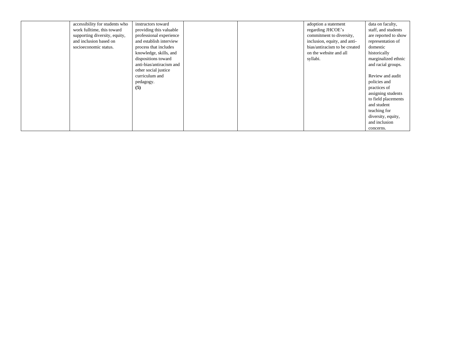| accessibility for students who | instructors toward       |  | adoption a statement          | data on faculty,     |
|--------------------------------|--------------------------|--|-------------------------------|----------------------|
| work fulltime, this toward     | providing this valuable  |  | regarding JHCOE's             | staff, and students  |
| supporting diversity, equity,  | professional experience  |  | commitment to diversity,      | are reported to show |
| and inclusion based on         | and establish interview  |  | inclusion, equity, and anti-  | representation of    |
| socioeconomic status.          | process that includes    |  | bias/antiracism to be created | domestic             |
|                                | knowledge, skills, and   |  | on the website and all        | historically         |
|                                | dispositions toward      |  | syllabi.                      | marginalized ethnic  |
|                                | anti-bias/antiracism and |  |                               | and racial groups.   |
|                                | other social justice     |  |                               |                      |
|                                | curriculum and           |  |                               | Review and audit     |
|                                | pedagogy.                |  |                               | policies and         |
|                                | (5)                      |  |                               | practices of         |
|                                |                          |  |                               | assigning students   |
|                                |                          |  |                               | to field placements  |
|                                |                          |  |                               | and student          |
|                                |                          |  |                               | teaching for         |
|                                |                          |  |                               | diversity, equity,   |
|                                |                          |  |                               | and inclusion        |
|                                |                          |  |                               | concerns.            |